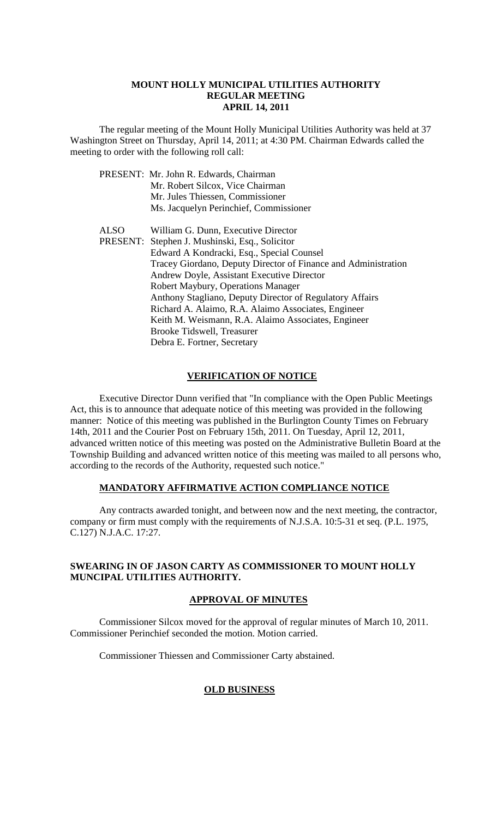#### **MOUNT HOLLY MUNICIPAL UTILITIES AUTHORITY REGULAR MEETING APRIL 14, 2011**

The regular meeting of the Mount Holly Municipal Utilities Authority was held at 37 Washington Street on Thursday, April 14, 2011; at 4:30 PM. Chairman Edwards called the meeting to order with the following roll call:

|      | PRESENT: Mr. John R. Edwards, Chairman                         |
|------|----------------------------------------------------------------|
|      | Mr. Robert Silcox, Vice Chairman                               |
|      | Mr. Jules Thiessen, Commissioner                               |
|      | Ms. Jacquelyn Perinchief, Commissioner                         |
| ALSO | William G. Dunn, Executive Director                            |
|      | PRESENT: Stephen J. Mushinski, Esq., Solicitor                 |
|      | Edward A Kondracki, Esq., Special Counsel                      |
|      | Tracey Giordano, Deputy Director of Finance and Administration |
|      | Andrew Doyle, Assistant Executive Director                     |
|      | Robert Maybury, Operations Manager                             |
|      | Anthony Stagliano, Deputy Director of Regulatory Affairs       |
|      | Richard A. Alaimo, R.A. Alaimo Associates, Engineer            |
|      | Keith M. Weismann, R.A. Alaimo Associates, Engineer            |
|      | Brooke Tidswell, Treasurer                                     |
|      | Debra E. Fortner, Secretary                                    |

#### **VERIFICATION OF NOTICE**

Executive Director Dunn verified that "In compliance with the Open Public Meetings Act, this is to announce that adequate notice of this meeting was provided in the following manner: Notice of this meeting was published in the Burlington County Times on February 14th, 2011 and the Courier Post on February 15th, 2011. On Tuesday, April 12, 2011, advanced written notice of this meeting was posted on the Administrative Bulletin Board at the Township Building and advanced written notice of this meeting was mailed to all persons who, according to the records of the Authority, requested such notice."

### **MANDATORY AFFIRMATIVE ACTION COMPLIANCE NOTICE**

Any contracts awarded tonight, and between now and the next meeting, the contractor, company or firm must comply with the requirements of N.J.S.A. 10:5-31 et seq. (P.L. 1975, C.127) N.J.A.C. 17:27.

## **SWEARING IN OF JASON CARTY AS COMMISSIONER TO MOUNT HOLLY MUNCIPAL UTILITIES AUTHORITY.**

### **APPROVAL OF MINUTES**

Commissioner Silcox moved for the approval of regular minutes of March 10, 2011. Commissioner Perinchief seconded the motion. Motion carried.

Commissioner Thiessen and Commissioner Carty abstained.

## **OLD BUSINESS**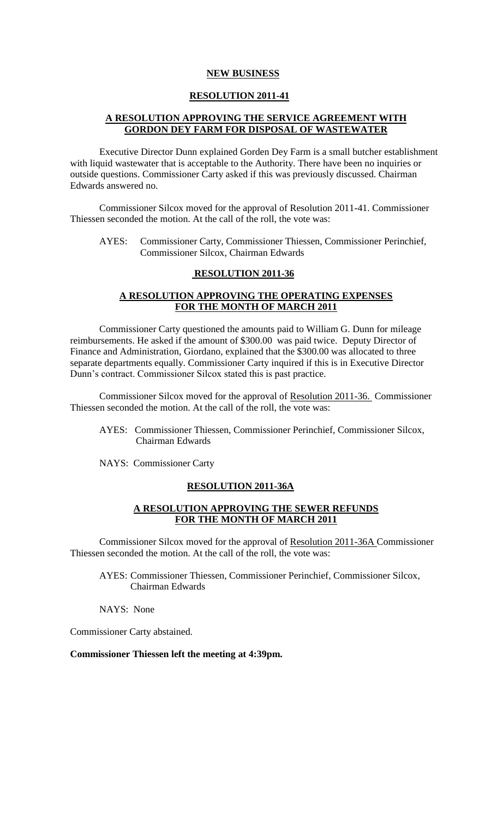#### **NEW BUSINESS**

### **RESOLUTION 2011-41**

## **A RESOLUTION APPROVING THE SERVICE AGREEMENT WITH GORDON DEY FARM FOR DISPOSAL OF WASTEWATER**

Executive Director Dunn explained Gorden Dey Farm is a small butcher establishment with liquid wastewater that is acceptable to the Authority. There have been no inquiries or outside questions. Commissioner Carty asked if this was previously discussed. Chairman Edwards answered no.

Commissioner Silcox moved for the approval of Resolution 2011-41. Commissioner Thiessen seconded the motion. At the call of the roll, the vote was:

AYES: Commissioner Carty, Commissioner Thiessen, Commissioner Perinchief, Commissioner Silcox, Chairman Edwards

## **RESOLUTION 2011-36**

## **A RESOLUTION APPROVING THE OPERATING EXPENSES FOR THE MONTH OF MARCH 2011**

Commissioner Carty questioned the amounts paid to William G. Dunn for mileage reimbursements. He asked if the amount of \$300.00 was paid twice. Deputy Director of Finance and Administration, Giordano, explained that the \$300.00 was allocated to three separate departments equally. Commissioner Carty inquired if this is in Executive Director Dunn's contract. Commissioner Silcox stated this is past practice.

Commissioner Silcox moved for the approval of Resolution 2011-36. Commissioner Thiessen seconded the motion. At the call of the roll, the vote was:

- AYES: Commissioner Thiessen, Commissioner Perinchief, Commissioner Silcox, Chairman Edwards
- NAYS: Commissioner Carty

#### **RESOLUTION 2011-36A**

## **A RESOLUTION APPROVING THE SEWER REFUNDS FOR THE MONTH OF MARCH 2011**

Commissioner Silcox moved for the approval of Resolution 2011-36A Commissioner Thiessen seconded the motion. At the call of the roll, the vote was:

AYES: Commissioner Thiessen, Commissioner Perinchief, Commissioner Silcox, Chairman Edwards

NAYS: None

Commissioner Carty abstained.

**Commissioner Thiessen left the meeting at 4:39pm.**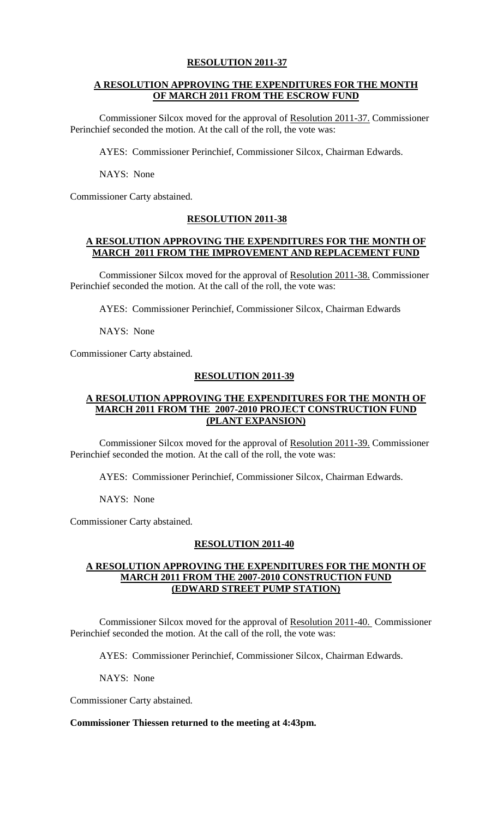## **RESOLUTION 2011-37**

## **A RESOLUTION APPROVING THE EXPENDITURES FOR THE MONTH OF MARCH 2011 FROM THE ESCROW FUND**

Commissioner Silcox moved for the approval of Resolution 2011-37. Commissioner Perinchief seconded the motion. At the call of the roll, the vote was:

AYES: Commissioner Perinchief, Commissioner Silcox, Chairman Edwards.

NAYS: None

Commissioner Carty abstained.

## **RESOLUTION 2011-38**

## **A RESOLUTION APPROVING THE EXPENDITURES FOR THE MONTH OF MARCH 2011 FROM THE IMPROVEMENT AND REPLACEMENT FUND**

Commissioner Silcox moved for the approval of Resolution 2011-38. Commissioner Perinchief seconded the motion. At the call of the roll, the vote was:

AYES: Commissioner Perinchief, Commissioner Silcox, Chairman Edwards

NAYS: None

Commissioner Carty abstained.

### **RESOLUTION 2011-39**

## **A RESOLUTION APPROVING THE EXPENDITURES FOR THE MONTH OF MARCH 2011 FROM THE 2007-2010 PROJECT CONSTRUCTION FUND (PLANT EXPANSION)**

Commissioner Silcox moved for the approval of Resolution 2011-39. Commissioner Perinchief seconded the motion. At the call of the roll, the vote was:

AYES: Commissioner Perinchief, Commissioner Silcox, Chairman Edwards.

NAYS: None

Commissioner Carty abstained.

## **RESOLUTION 2011-40**

## **A RESOLUTION APPROVING THE EXPENDITURES FOR THE MONTH OF MARCH 2011 FROM THE 2007-2010 CONSTRUCTION FUND (EDWARD STREET PUMP STATION)**

Commissioner Silcox moved for the approval of Resolution 2011-40. Commissioner Perinchief seconded the motion. At the call of the roll, the vote was:

AYES: Commissioner Perinchief, Commissioner Silcox, Chairman Edwards.

NAYS: None

Commissioner Carty abstained.

## **Commissioner Thiessen returned to the meeting at 4:43pm.**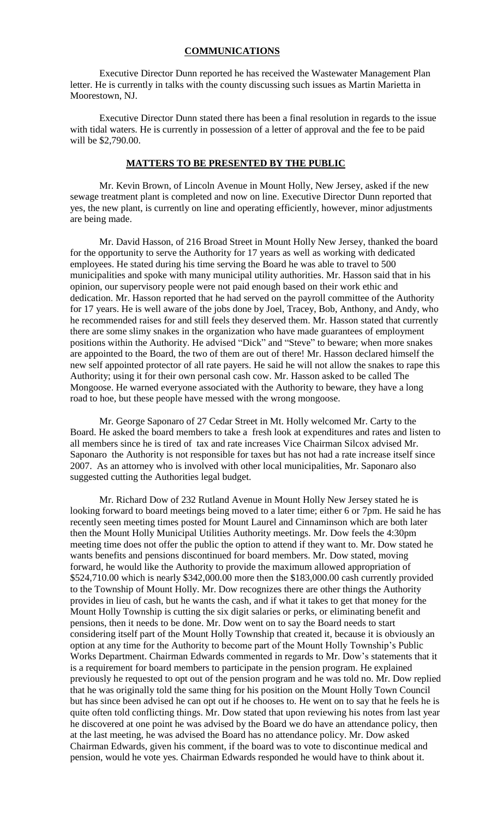## **COMMUNICATIONS**

Executive Director Dunn reported he has received the Wastewater Management Plan letter. He is currently in talks with the county discussing such issues as Martin Marietta in Moorestown, NJ.

Executive Director Dunn stated there has been a final resolution in regards to the issue with tidal waters. He is currently in possession of a letter of approval and the fee to be paid will be \$2,790.00.

## **MATTERS TO BE PRESENTED BY THE PUBLIC**

Mr. Kevin Brown, of Lincoln Avenue in Mount Holly, New Jersey, asked if the new sewage treatment plant is completed and now on line. Executive Director Dunn reported that yes, the new plant, is currently on line and operating efficiently, however, minor adjustments are being made.

Mr. David Hasson, of 216 Broad Street in Mount Holly New Jersey, thanked the board for the opportunity to serve the Authority for 17 years as well as working with dedicated employees. He stated during his time serving the Board he was able to travel to 500 municipalities and spoke with many municipal utility authorities. Mr. Hasson said that in his opinion, our supervisory people were not paid enough based on their work ethic and dedication. Mr. Hasson reported that he had served on the payroll committee of the Authority for 17 years. He is well aware of the jobs done by Joel, Tracey, Bob, Anthony, and Andy, who he recommended raises for and still feels they deserved them. Mr. Hasson stated that currently there are some slimy snakes in the organization who have made guarantees of employment positions within the Authority. He advised "Dick" and "Steve" to beware; when more snakes are appointed to the Board, the two of them are out of there! Mr. Hasson declared himself the new self appointed protector of all rate payers. He said he will not allow the snakes to rape this Authority; using it for their own personal cash cow. Mr. Hasson asked to be called The Mongoose. He warned everyone associated with the Authority to beware, they have a long road to hoe, but these people have messed with the wrong mongoose.

Mr. George Saponaro of 27 Cedar Street in Mt. Holly welcomed Mr. Carty to the Board. He asked the board members to take a fresh look at expenditures and rates and listen to all members since he is tired of tax and rate increases Vice Chairman Silcox advised Mr. Saponaro the Authority is not responsible for taxes but has not had a rate increase itself since 2007. As an attorney who is involved with other local municipalities, Mr. Saponaro also suggested cutting the Authorities legal budget.

Mr. Richard Dow of 232 Rutland Avenue in Mount Holly New Jersey stated he is looking forward to board meetings being moved to a later time; either 6 or 7pm. He said he has recently seen meeting times posted for Mount Laurel and Cinnaminson which are both later then the Mount Holly Municipal Utilities Authority meetings. Mr. Dow feels the 4:30pm meeting time does not offer the public the option to attend if they want to. Mr. Dow stated he wants benefits and pensions discontinued for board members. Mr. Dow stated, moving forward, he would like the Authority to provide the maximum allowed appropriation of \$524,710.00 which is nearly \$342,000.00 more then the \$183,000.00 cash currently provided to the Township of Mount Holly. Mr. Dow recognizes there are other things the Authority provides in lieu of cash, but he wants the cash, and if what it takes to get that money for the Mount Holly Township is cutting the six digit salaries or perks, or eliminating benefit and pensions, then it needs to be done. Mr. Dow went on to say the Board needs to start considering itself part of the Mount Holly Township that created it, because it is obviously an option at any time for the Authority to become part of the Mount Holly Township's Public Works Department. Chairman Edwards commented in regards to Mr. Dow's statements that it is a requirement for board members to participate in the pension program. He explained previously he requested to opt out of the pension program and he was told no. Mr. Dow replied that he was originally told the same thing for his position on the Mount Holly Town Council but has since been advised he can opt out if he chooses to. He went on to say that he feels he is quite often told conflicting things. Mr. Dow stated that upon reviewing his notes from last year he discovered at one point he was advised by the Board we do have an attendance policy, then at the last meeting, he was advised the Board has no attendance policy. Mr. Dow asked Chairman Edwards, given his comment, if the board was to vote to discontinue medical and pension, would he vote yes. Chairman Edwards responded he would have to think about it.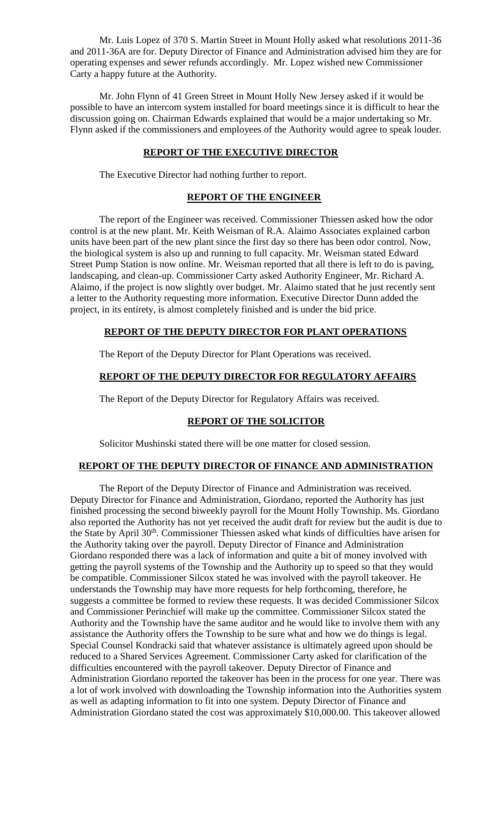Mr. Luis Lopez of 370 S. Martin Street in Mount Holly asked what resolutions 2011-36 and 2011-36A are for. Deputy Director of Finance and Administration advised him they are for operating expenses and sewer refunds accordingly. Mr. Lopez wished new Commissioner Carty a happy future at the Authority.

Mr. John Flynn of 41 Green Street in Mount Holly New Jersey asked if it would be possible to have an intercom system installed for board meetings since it is difficult to hear the discussion going on. Chairman Edwards explained that would be a major undertaking so Mr. Flynn asked if the commissioners and employees of the Authority would agree to speak louder.

## **REPORT OF THE EXECUTIVE DIRECTOR**

The Executive Director had nothing further to report.

## **REPORT OF THE ENGINEER**

The report of the Engineer was received. Commissioner Thiessen asked how the odor control is at the new plant. Mr. Keith Weisman of R.A. Alaimo Associates explained carbon units have been part of the new plant since the first day so there has been odor control. Now, the biological system is also up and running to full capacity. Mr. Weisman stated Edward Street Pump Station is now online. Mr. Weisman reported that all there is left to do is paving, landscaping, and clean-up. Commissioner Carty asked Authority Engineer, Mr. Richard A. Alaimo, if the project is now slightly over budget. Mr. Alaimo stated that he just recently sent a letter to the Authority requesting more information. Executive Director Dunn added the project, in its entirety, is almost completely finished and is under the bid price.

## **REPORT OF THE DEPUTY DIRECTOR FOR PLANT OPERATIONS**

The Report of the Deputy Director for Plant Operations was received.

## **REPORT OF THE DEPUTY DIRECTOR FOR REGULATORY AFFAIRS**

The Report of the Deputy Director for Regulatory Affairs was received.

## **REPORT OF THE SOLICITOR**

Solicitor Mushinski stated there will be one matter for closed session.

#### **REPORT OF THE DEPUTY DIRECTOR OF FINANCE AND ADMINISTRATION**

The Report of the Deputy Director of Finance and Administration was received. Deputy Director for Finance and Administration, Giordano, reported the Authority has just finished processing the second biweekly payroll for the Mount Holly Township. Ms. Giordano also reported the Authority has not yet received the audit draft for review but the audit is due to the State by April 30<sup>th</sup>. Commissioner Thiessen asked what kinds of difficulties have arisen for the Authority taking over the payroll. Deputy Director of Finance and Administration Giordano responded there was a lack of information and quite a bit of money involved with getting the payroll systems of the Township and the Authority up to speed so that they would be compatible. Commissioner Silcox stated he was involved with the payroll takeover. He understands the Township may have more requests for help forthcoming, therefore, he suggests a committee be formed to review these requests. It was decided Commissioner Silcox and Commissioner Perinchief will make up the committee. Commissioner Silcox stated the Authority and the Township have the same auditor and he would like to involve them with any assistance the Authority offers the Township to be sure what and how we do things is legal. Special Counsel Kondracki said that whatever assistance is ultimately agreed upon should be reduced to a Shared Services Agreement. Commissioner Carty asked for clarification of the difficulties encountered with the payroll takeover. Deputy Director of Finance and Administration Giordano reported the takeover has been in the process for one year. There was a lot of work involved with downloading the Township information into the Authorities system as well as adapting information to fit into one system. Deputy Director of Finance and Administration Giordano stated the cost was approximately \$10,000.00. This takeover allowed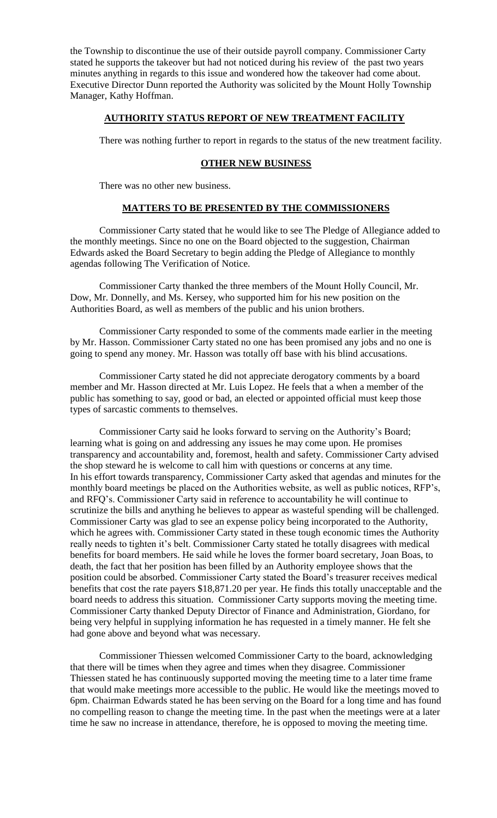the Township to discontinue the use of their outside payroll company. Commissioner Carty stated he supports the takeover but had not noticed during his review of the past two years minutes anything in regards to this issue and wondered how the takeover had come about. Executive Director Dunn reported the Authority was solicited by the Mount Holly Township Manager, Kathy Hoffman.

### **AUTHORITY STATUS REPORT OF NEW TREATMENT FACILITY**

There was nothing further to report in regards to the status of the new treatment facility.

## **OTHER NEW BUSINESS**

There was no other new business.

## **MATTERS TO BE PRESENTED BY THE COMMISSIONERS**

Commissioner Carty stated that he would like to see The Pledge of Allegiance added to the monthly meetings. Since no one on the Board objected to the suggestion, Chairman Edwards asked the Board Secretary to begin adding the Pledge of Allegiance to monthly agendas following The Verification of Notice.

Commissioner Carty thanked the three members of the Mount Holly Council, Mr. Dow, Mr. Donnelly, and Ms. Kersey, who supported him for his new position on the Authorities Board, as well as members of the public and his union brothers.

Commissioner Carty responded to some of the comments made earlier in the meeting by Mr. Hasson. Commissioner Carty stated no one has been promised any jobs and no one is going to spend any money. Mr. Hasson was totally off base with his blind accusations.

Commissioner Carty stated he did not appreciate derogatory comments by a board member and Mr. Hasson directed at Mr. Luis Lopez. He feels that a when a member of the public has something to say, good or bad, an elected or appointed official must keep those types of sarcastic comments to themselves.

Commissioner Carty said he looks forward to serving on the Authority's Board; learning what is going on and addressing any issues he may come upon. He promises transparency and accountability and, foremost, health and safety. Commissioner Carty advised the shop steward he is welcome to call him with questions or concerns at any time. In his effort towards transparency, Commissioner Carty asked that agendas and minutes for the monthly board meetings be placed on the Authorities website, as well as public notices, RFP's, and RFQ's. Commissioner Carty said in reference to accountability he will continue to scrutinize the bills and anything he believes to appear as wasteful spending will be challenged. Commissioner Carty was glad to see an expense policy being incorporated to the Authority, which he agrees with. Commissioner Carty stated in these tough economic times the Authority really needs to tighten it's belt. Commissioner Carty stated he totally disagrees with medical benefits for board members. He said while he loves the former board secretary, Joan Boas, to death, the fact that her position has been filled by an Authority employee shows that the position could be absorbed. Commissioner Carty stated the Board's treasurer receives medical benefits that cost the rate payers \$18,871.20 per year. He finds this totally unacceptable and the board needs to address this situation. Commissioner Carty supports moving the meeting time. Commissioner Carty thanked Deputy Director of Finance and Administration, Giordano, for being very helpful in supplying information he has requested in a timely manner. He felt she had gone above and beyond what was necessary.

Commissioner Thiessen welcomed Commissioner Carty to the board, acknowledging that there will be times when they agree and times when they disagree. Commissioner Thiessen stated he has continuously supported moving the meeting time to a later time frame that would make meetings more accessible to the public. He would like the meetings moved to 6pm. Chairman Edwards stated he has been serving on the Board for a long time and has found no compelling reason to change the meeting time. In the past when the meetings were at a later time he saw no increase in attendance, therefore, he is opposed to moving the meeting time.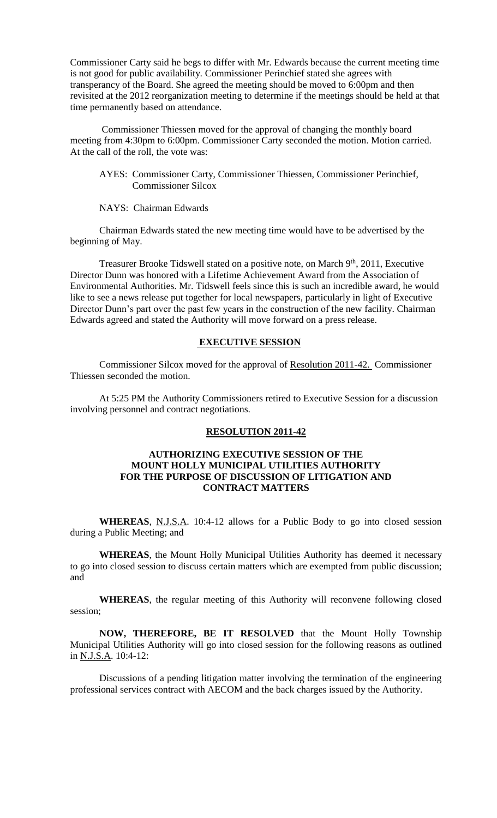Commissioner Carty said he begs to differ with Mr. Edwards because the current meeting time is not good for public availability. Commissioner Perinchief stated she agrees with transperancy of the Board. She agreed the meeting should be moved to 6:00pm and then revisited at the 2012 reorganization meeting to determine if the meetings should be held at that time permanently based on attendance.

Commissioner Thiessen moved for the approval of changing the monthly board meeting from 4:30pm to 6:00pm. Commissioner Carty seconded the motion. Motion carried. At the call of the roll, the vote was:

AYES: Commissioner Carty, Commissioner Thiessen, Commissioner Perinchief, Commissioner Silcox

NAYS: Chairman Edwards

Chairman Edwards stated the new meeting time would have to be advertised by the beginning of May.

Treasurer Brooke Tidswell stated on a positive note, on March 9<sup>th</sup>, 2011, Executive Director Dunn was honored with a Lifetime Achievement Award from the Association of Environmental Authorities. Mr. Tidswell feels since this is such an incredible award, he would like to see a news release put together for local newspapers, particularly in light of Executive Director Dunn's part over the past few years in the construction of the new facility. Chairman Edwards agreed and stated the Authority will move forward on a press release.

#### **EXECUTIVE SESSION**

Commissioner Silcox moved for the approval of Resolution 2011-42. Commissioner Thiessen seconded the motion.

At 5:25 PM the Authority Commissioners retired to Executive Session for a discussion involving personnel and contract negotiations.

## **RESOLUTION 2011-42**

## **AUTHORIZING EXECUTIVE SESSION OF THE MOUNT HOLLY MUNICIPAL UTILITIES AUTHORITY FOR THE PURPOSE OF DISCUSSION OF LITIGATION AND CONTRACT MATTERS**

**WHEREAS**, N.J.S.A. 10:4-12 allows for a Public Body to go into closed session during a Public Meeting; and

**WHEREAS**, the Mount Holly Municipal Utilities Authority has deemed it necessary to go into closed session to discuss certain matters which are exempted from public discussion; and

**WHEREAS**, the regular meeting of this Authority will reconvene following closed session;

**NOW, THEREFORE, BE IT RESOLVED** that the Mount Holly Township Municipal Utilities Authority will go into closed session for the following reasons as outlined in N.J.S.A. 10:4-12:

Discussions of a pending litigation matter involving the termination of the engineering professional services contract with AECOM and the back charges issued by the Authority.